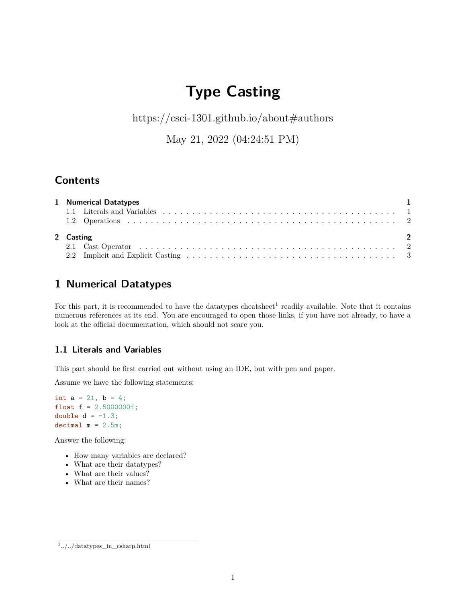# **Type Casting**

<https://csci-1301.github.io/about#authors>

May 21, 2022 (04:24:51 PM)

## **Contents**

| 1 Numerical Datatypes<br>$\blacksquare$ |  |
|-----------------------------------------|--|
| 2 Casting<br>$\overline{\phantom{a}}$   |  |

## <span id="page-0-0"></span>**1 Numerical Datatypes**

For this part, it is recommended to have the datatypes cheatsheet<sup>[1](#page-0-2)</sup> readily available. Note that it contains numerous references at its end. You are encouraged to open those links, if you have not already, to have a look at the official documentation, which should not scare you.

### <span id="page-0-1"></span>**1.1 Literals and Variables**

This part should be first carried out without using an IDE, but with pen and paper.

Assume we have the following statements:

```
int a = 21, b = 4;
float f = 2.5000000f;
double d = -1.3;
decimal m = 2.5m;
```
Answer the following:

- How many variables are declared?
- What are their datatypes?
- What are their values?
- What are their names?

<span id="page-0-2"></span><sup>1</sup> [../../datatypes\\_in\\_csharp.html](../../datatypes_in_csharp.html)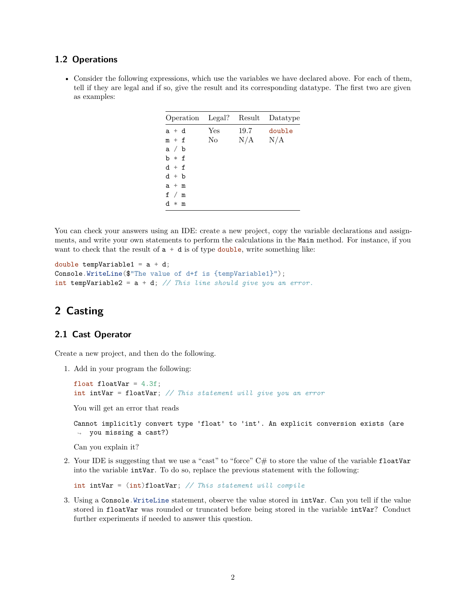#### <span id="page-1-0"></span>**1.2 Operations**

• Consider the following expressions, which use the variables we have declared above. For each of them, tell if they are legal and if so, give the result and its corresponding datatype. The first two are given as examples:

| Operation | Legal? | Result | Datatype |
|-----------|--------|--------|----------|
| a + d     | Yes    | 19.7   | double   |
| $m + f$   | No.    | N/A    | N/A      |
| a / b     |        |        |          |
| b * f     |        |        |          |
| $d + f$   |        |        |          |
| $d + b$   |        |        |          |
| $a + m$   |        |        |          |
| f / m     |        |        |          |
| $d * m$   |        |        |          |
|           |        |        |          |

You can check your answers using an IDE: create a new project, copy the variable declarations and assignments, and write your own statements to perform the calculations in the Main method. For instance, if you want to check that the result of  $a + d$  is of type double, write something like:

```
double tempVariable1 = a + d;
Console.WriteLine($"The value of d+f is {tempVariable1}");
int tempVariable2 = a + d; // This line should give you an error.
```
## <span id="page-1-1"></span>**2 Casting**

#### <span id="page-1-2"></span>**2.1 Cast Operator**

Create a new project, and then do the following.

1. Add in your program the following:

```
float floatVar = 4.3f;
int intVar = floatVar; // This statement will give you an error
You will get an error that reads
```
Cannot implicitly convert type 'float' to 'int'. An explicit conversion exists (are ↪ you missing a cast?)

Can you explain it?

2. Your IDE is suggesting that we use a "cast" to "force"  $C#$  to store the value of the variable floatVar into the variable intVar. To do so, replace the previous statement with the following:

int intVar = (int)floatVar; *// This statement will compile*

3. Using a Console.WriteLine statement, observe the value stored in intVar. Can you tell if the value stored in floatVar was rounded or truncated before being stored in the variable intVar? Conduct further experiments if needed to answer this question.